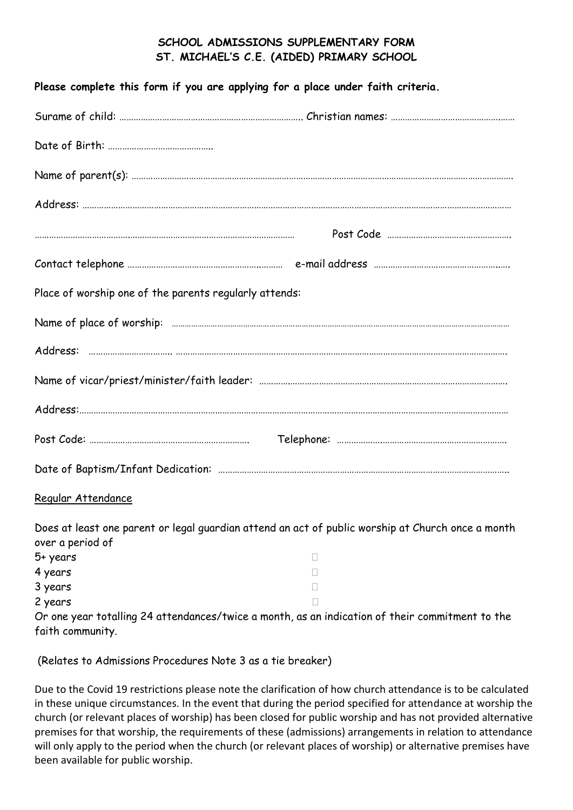## **SCHOOL ADMISSIONS SUPPLEMENTARY FORM ST. MICHAEL'S C.E. (AIDED) PRIMARY SCHOOL**

| Please complete this form if you are applying for a place under faith criteria. |                                                                                                   |
|---------------------------------------------------------------------------------|---------------------------------------------------------------------------------------------------|
|                                                                                 |                                                                                                   |
|                                                                                 |                                                                                                   |
|                                                                                 |                                                                                                   |
|                                                                                 |                                                                                                   |
|                                                                                 |                                                                                                   |
|                                                                                 |                                                                                                   |
| Place of worship one of the parents regularly attends:                          |                                                                                                   |
|                                                                                 |                                                                                                   |
|                                                                                 |                                                                                                   |
|                                                                                 |                                                                                                   |
|                                                                                 |                                                                                                   |
|                                                                                 |                                                                                                   |
|                                                                                 |                                                                                                   |
| Regular Attendance                                                              |                                                                                                   |
| over a period of                                                                | Does at least one parent or legal guardian attend an act of public worship at Church once a month |
| 5+ years                                                                        | $\Box$                                                                                            |
| 4 years                                                                         | П                                                                                                 |
| 3 years                                                                         | П                                                                                                 |
| 2 years                                                                         | п                                                                                                 |
|                                                                                 | Or one year totalling 24 attendances/twice a month, as an indication of their commitment to the   |

faith community.

(Relates to Admissions Procedures Note 3 as a tie breaker)

Due to the Covid 19 restrictions please note the clarification of how church attendance is to be calculated in these unique circumstances. In the event that during the period specified for attendance at worship the church (or relevant places of worship) has been closed for public worship and has not provided alternative premises for that worship, the requirements of these (admissions) arrangements in relation to attendance will only apply to the period when the church (or relevant places of worship) or alternative premises have been available for public worship.